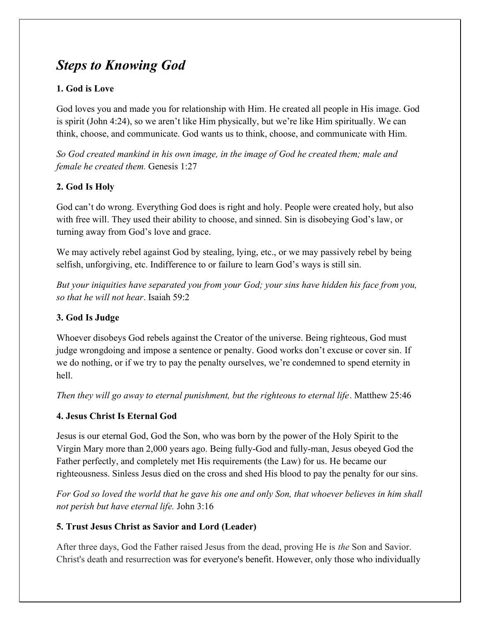# Steps to Knowing God

## 1. God is Love

God loves you and made you for relationship with Him. He created all people in His image. God is spirit (John 4:24), so we aren't like Him physically, but we're like Him spiritually. We can think, choose, and communicate. God wants us to think, choose, and communicate with Him.

So God created mankind in his own image, in the image of God he created them; male and female he created them. Genesis 1:27

# 2. God Is Holy

God can't do wrong. Everything God does is right and holy. People were created holy, but also with free will. They used their ability to choose, and sinned. Sin is disobeying God's law, or turning away from God's love and grace.

We may actively rebel against God by stealing, lying, etc., or we may passively rebel by being selfish, unforgiving, etc. Indifference to or failure to learn God's ways is still sin.

But your iniquities have separated you from your God; your sins have hidden his face from you, so that he will not hear. Isaiah 59:2

### 3. God Is Judge

Whoever disobeys God rebels against the Creator of the universe. Being righteous, God must judge wrongdoing and impose a sentence or penalty. Good works don't excuse or cover sin. If we do nothing, or if we try to pay the penalty ourselves, we're condemned to spend eternity in hell.

Then they will go away to eternal punishment, but the righteous to eternal life. Matthew 25:46

### 4. Jesus Christ Is Eternal God

Jesus is our eternal God, God the Son, who was born by the power of the Holy Spirit to the Virgin Mary more than 2,000 years ago. Being fully-God and fully-man, Jesus obeyed God the Father perfectly, and completely met His requirements (the Law) for us. He became our righteousness. Sinless Jesus died on the cross and shed His blood to pay the penalty for our sins.

For God so loved the world that he gave his one and only Son, that whoever believes in him shall not perish but have eternal life. John 3:16

### 5. Trust Jesus Christ as Savior and Lord (Leader)

After three days, God the Father raised Jesus from the dead, proving He is the Son and Savior. Christ's death and resurrection was for everyone's benefit. However, only those who individually